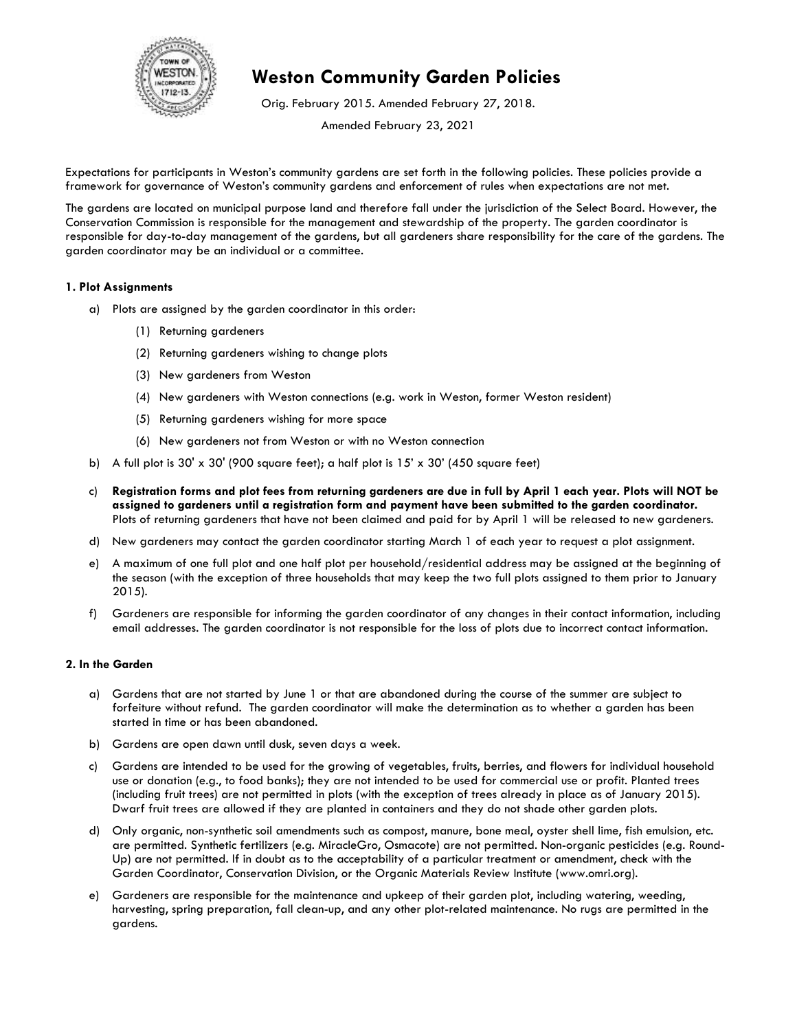

## **Weston Community Garden Policies**

Orig. February 2015. Amended February 27, 2018.

Amended February 23, 2021

Expectations for participants in Weston's community gardens are set forth in the following policies. These policies provide a framework for governance of Weston's community gardens and enforcement of rules when expectations are not met.

The gardens are located on municipal purpose land and therefore fall under the jurisdiction of the Select Board. However, the Conservation Commission is responsible for the management and stewardship of the property. The garden coordinator is responsible for day-to-day management of the gardens, but all gardeners share responsibility for the care of the gardens. The garden coordinator may be an individual or a committee.

## **1. Plot Assignments**

- a) Plots are assigned by the garden coordinator in this order:
	- (1) Returning gardeners
	- (2) Returning gardeners wishing to change plots
	- (3) New gardeners from Weston
	- (4) New gardeners with Weston connections (e.g. work in Weston, former Weston resident)
	- (5) Returning gardeners wishing for more space
	- (6) New gardeners not from Weston or with no Weston connection
- b) A full plot is  $30' \times 30'$  (900 square feet); a half plot is  $15' \times 30'$  (450 square feet)
- c) **Registration forms and plot fees from returning gardeners are due in full by April 1 each year. Plots will NOT be assigned to gardeners until a registration form and payment have been submitted to the garden coordinator.** Plots of returning gardeners that have not been claimed and paid for by April 1 will be released to new gardeners.
- d) New gardeners may contact the garden coordinator starting March 1 of each year to request a plot assignment.
- e) A maximum of one full plot and one half plot per household/residential address may be assigned at the beginning of the season (with the exception of three households that may keep the two full plots assigned to them prior to January 2015).
- f) Gardeners are responsible for informing the garden coordinator of any changes in their contact information, including email addresses. The garden coordinator is not responsible for the loss of plots due to incorrect contact information.

## **2. In the Garden**

- a) Gardens that are not started by June 1 or that are abandoned during the course of the summer are subject to forfeiture without refund. The garden coordinator will make the determination as to whether a garden has been started in time or has been abandoned.
- b) Gardens are open dawn until dusk, seven days a week.
- c) Gardens are intended to be used for the growing of vegetables, fruits, berries, and flowers for individual household use or donation (e.g., to food banks); they are not intended to be used for commercial use or profit. Planted trees (including fruit trees) are not permitted in plots (with the exception of trees already in place as of January 2015). Dwarf fruit trees are allowed if they are planted in containers and they do not shade other garden plots.
- d) Only organic, non-synthetic soil amendments such as compost, manure, bone meal, oyster shell lime, fish emulsion, etc. are permitted. Synthetic fertilizers (e.g. MiracleGro, Osmacote) are not permitted. Non-organic pesticides (e.g. Round-Up) are not permitted. If in doubt as to the acceptability of a particular treatment or amendment, check with the Garden Coordinator, Conservation Division, or the Organic Materials Review Institute [\(www.omri.org\)](http://www.omri.org/).
- e) Gardeners are responsible for the maintenance and upkeep of their garden plot, including watering, weeding, harvesting, spring preparation, fall clean-up, and any other plot-related maintenance. No rugs are permitted in the gardens.